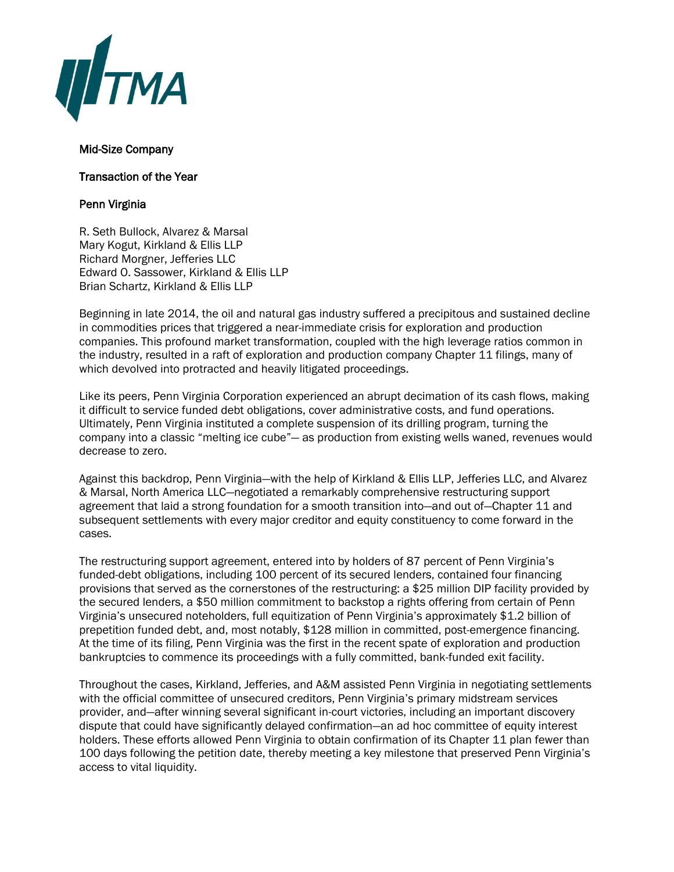

## Mid-Size Company

Transaction of the Year

## Penn Virginia

R. Seth Bullock, Alvarez & Marsal Mary Kogut, Kirkland & Ellis LLP Richard Morgner, Jefferies LLC Edward O. Sassower, Kirkland & Ellis LLP Brian Schartz, Kirkland & Ellis LLP

Beginning in late 2014, the oil and natural gas industry suffered a precipitous and sustained decline in commodities prices that triggered a near-immediate crisis for exploration and production companies. This profound market transformation, coupled with the high leverage ratios common in the industry, resulted in a raft of exploration and production company Chapter 11 filings, many of which devolved into protracted and heavily litigated proceedings.

Like its peers, Penn Virginia Corporation experienced an abrupt decimation of its cash flows, making it difficult to service funded debt obligations, cover administrative costs, and fund operations. Ultimately, Penn Virginia instituted a complete suspension of its drilling program, turning the company into a classic "melting ice cube"— as production from existing wells waned, revenues would decrease to zero.

Against this backdrop, Penn Virginia—with the help of Kirkland & Ellis LLP, Jefferies LLC, and Alvarez & Marsal, North America LLC—negotiated a remarkably comprehensive restructuring support agreement that laid a strong foundation for a smooth transition into—and out of—Chapter 11 and subsequent settlements with every major creditor and equity constituency to come forward in the cases.

The restructuring support agreement, entered into by holders of 87 percent of Penn Virginia's funded-debt obligations, including 100 percent of its secured lenders, contained four financing provisions that served as the cornerstones of the restructuring: a \$25 million DIP facility provided by the secured lenders, a \$50 million commitment to backstop a rights offering from certain of Penn Virginia's unsecured noteholders, full equitization of Penn Virginia's approximately \$1.2 billion of prepetition funded debt, and, most notably, \$128 million in committed, post-emergence financing. At the time of its filing, Penn Virginia was the first in the recent spate of exploration and production bankruptcies to commence its proceedings with a fully committed, bank-funded exit facility.

Throughout the cases, Kirkland, Jefferies, and A&M assisted Penn Virginia in negotiating settlements with the official committee of unsecured creditors, Penn Virginia's primary midstream services provider, and—after winning several significant in-court victories, including an important discovery dispute that could have significantly delayed confirmation—an ad hoc committee of equity interest holders. These efforts allowed Penn Virginia to obtain confirmation of its Chapter 11 plan fewer than 100 days following the petition date, thereby meeting a key milestone that preserved Penn Virginia's access to vital liquidity.